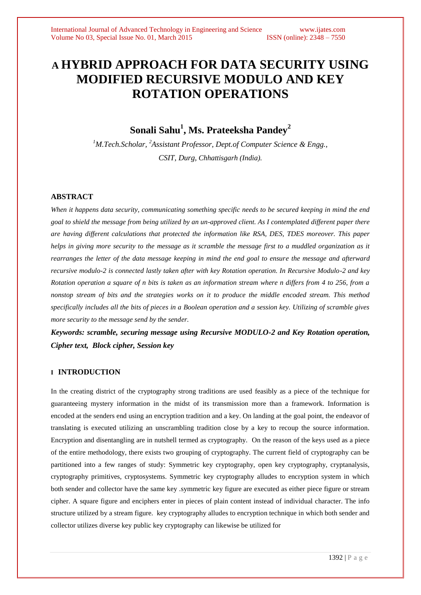# **A HYBRID APPROACH FOR DATA SECURITY USING MODIFIED RECURSIVE MODULO AND KEY ROTATION OPERATIONS**

**Sonali Sahu<sup>1</sup> , Ms. Prateeksha Pandey<sup>2</sup>**

*<sup>1</sup>M.Tech.Scholar, <sup>2</sup>Assistant Professor, Dept.of Computer Science & Engg., CSIT, Durg, Chhattisgarh (India).*

## **ABSTRACT**

*When it happens data security, communicating something specific needs to be secured keeping in mind the end goal to shield the message from being utilized by an un-approved client. As I contemplated different paper there are having different calculations that protected the information like RSA, DES, TDES moreover. This paper helps in giving more security to the message as it scramble the message first to a muddled organization as it rearranges the letter of the data message keeping in mind the end goal to ensure the message and afterward recursive modulo-2 is connected lastly taken after with key Rotation operation. In Recursive Modulo-2 and key Rotation operation a square of n bits is taken as an information stream where n differs from 4 to 256, from a nonstop stream of bits and the strategies works on it to produce the middle encoded stream. This method specifically includes all the bits of pieces in a Boolean operation and a session key. Utilizing of scramble gives more security to the message send by the sender.*

*Keywords: scramble, securing message using Recursive MODULO-2 and Key Rotation operation, Cipher text, Block cipher, Session key*

# **I INTRODUCTION**

In the creating district of the cryptography strong traditions are used feasibly as a piece of the technique for guaranteeing mystery information in the midst of its transmission more than a framework. Information is encoded at the senders end using an encryption tradition and a key. On landing at the goal point, the endeavor of translating is executed utilizing an unscrambling tradition close by a key to recoup the source information. Encryption and disentangling are in nutshell termed as cryptography. On the reason of the keys used as a piece of the entire methodology, there exists two grouping of cryptography. The current field of cryptography can be partitioned into a few ranges of study: Symmetric key cryptography, open key cryptography, cryptanalysis, cryptography primitives, cryptosystems. Symmetric key cryptography alludes to encryption system in which both sender and collector have the same key .symmetric key figure are executed as either piece figure or stream cipher. A square figure and enciphers enter in pieces of plain content instead of individual character. The info structure utilized by a stream figure. key cryptography alludes to encryption technique in which both sender and collector utilizes diverse key public key cryptography can likewise be utilized for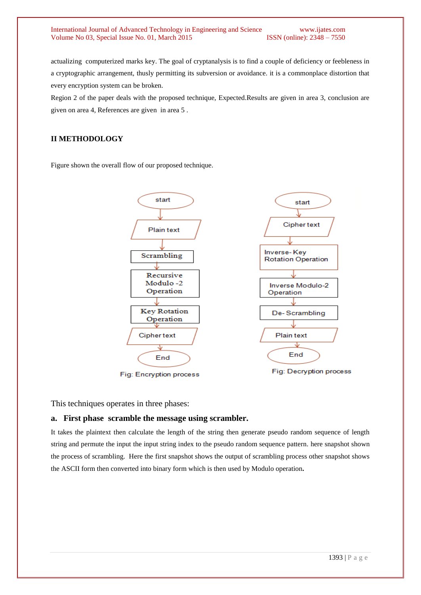#### International Journal of Advanced Technology in Engineering and Science www.ijates.com<br>Volume No 03. Special Issue No. 01. March 2015 **ISSN** (online): 2348 – 7550 Volume No 03, Special Issue No. 01, March 2015

actualizing computerized marks key. The goal of cryptanalysis is to find a couple of deficiency or feebleness in a cryptographic arrangement, thusly permitting its subversion or avoidance. it is a commonplace distortion that every encryption system can be broken.

Region 2 of the paper deals with the proposed technique, Expected.Results are given in area 3, conclusion are given on area 4, References are given in area 5 .

# **II METHODOLOGY**

Figure shown the overall flow of our proposed technique.



This techniques operates in three phases:

### **a. First phase scramble the message using scrambler.**

It takes the plaintext then calculate the length of the string then generate pseudo random sequence of length string and permute the input the input string index to the pseudo random sequence pattern. here snapshot shown the process of scrambling. Here the first snapshot shows the output of scrambling process other snapshot shows the ASCII form then converted into binary form which is then used by Modulo operation**.**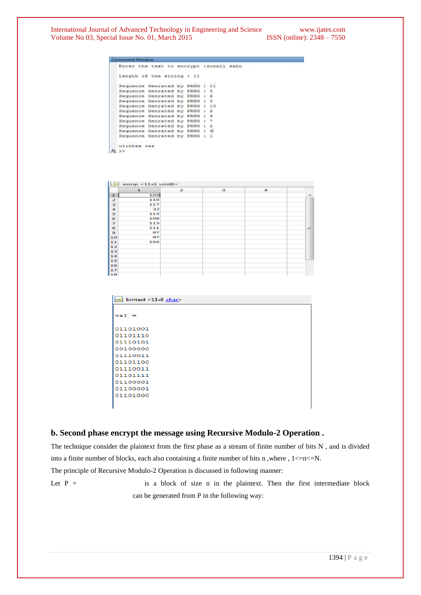|    | ---------------------------                     |                                       |    |                             |                       |      |
|----|-------------------------------------------------|---------------------------------------|----|-----------------------------|-----------------------|------|
|    | Enter<br>the                                    | text<br><b>UO</b>                     |    | enorypt                     | isonali               | BADU |
|    |                                                 | Length of the string                  |    | $1-3.3$                     |                       |      |
|    | 1920년 - JAPAN PARTY WAS TRANSPORTED<br>Sequence | ARRY WHO IS RESPONSIVELY.<br>Genrated | ыy | <b>IN CALCOMA A</b><br>PRNG | $12 - 2 -$<br>÷<br>11 |      |
|    |                                                 | Sequence Genrated by PRNG :           |    |                             | 5                     |      |
|    | Sequence                                        | Genrated by                           |    | PRNG :                      | $\epsilon$            |      |
|    | Sequence                                        | Genrated by                           |    | <b>FRNG</b>                 | в<br>÷                |      |
|    | Sequence                                        | Genrated                              | by | PRNG :                      | 10                    |      |
|    | Seguence                                        | Genrated                              | by | PRNG :                      | 8                     |      |
|    | Sequence                                        | Genrated                              | by | PRNG :                      | é                     |      |
|    | Sequence                                        | Genrated                              | by | PRNG :                      | 7                     |      |
|    | Sequence                                        | Genrated                              | ъv | PRNG 1                      | ž                     |      |
|    | Sequence                                        | Geneated                              | by | FRMG :                      | $\mathbf{D}$          |      |
|    | Sequence                                        | Genrated                              | by | PRNG                        | ı<br>9                |      |
|    | ulinhsa                                         | 0.83                                  |    |                             |                       |      |
| W. | >                                               |                                       |    |                             |                       |      |

|    | $\Box$ asinp <11x1 uint8> |                         |   |   |                             |  |  |  |  |  |  |  |
|----|---------------------------|-------------------------|---|---|-----------------------------|--|--|--|--|--|--|--|
|    | $\mathbf{I}$              | $\overline{\mathbf{z}}$ | в | 4 |                             |  |  |  |  |  |  |  |
| 1  | 105                       |                         |   |   | $\mathcal{M}_{\mathcal{C}}$ |  |  |  |  |  |  |  |
| z  | 110                       |                         |   |   |                             |  |  |  |  |  |  |  |
| ш  | 117                       |                         |   |   |                             |  |  |  |  |  |  |  |
| 4  | 32                        |                         |   |   |                             |  |  |  |  |  |  |  |
| 5  | 115                       |                         |   |   |                             |  |  |  |  |  |  |  |
| 6  | 108                       |                         |   |   |                             |  |  |  |  |  |  |  |
| z  | 115                       |                         |   |   |                             |  |  |  |  |  |  |  |
| 8  | 111                       |                         |   |   | m                           |  |  |  |  |  |  |  |
| o  | 97                        |                         |   |   |                             |  |  |  |  |  |  |  |
| 10 | 97                        |                         |   |   |                             |  |  |  |  |  |  |  |
| 11 | 104                       |                         |   |   |                             |  |  |  |  |  |  |  |
| 12 |                           |                         |   |   |                             |  |  |  |  |  |  |  |
| 13 |                           |                         |   |   |                             |  |  |  |  |  |  |  |
| 14 |                           |                         |   |   |                             |  |  |  |  |  |  |  |
| 15 |                           |                         |   |   |                             |  |  |  |  |  |  |  |
| 16 |                           |                         |   |   |                             |  |  |  |  |  |  |  |
| 17 |                           |                         |   |   |                             |  |  |  |  |  |  |  |
| 18 |                           |                         |   |   |                             |  |  |  |  |  |  |  |

| $\vert$ abc bintext <11x8 char> |
|---------------------------------|
|                                 |
| $val =$                         |
| 01101001                        |
| 01101110                        |
| 01110101                        |
| 00100000                        |
| 01110011                        |
| 01101100                        |
| 01110011                        |
| 01101111                        |
| 01100001                        |
| 01100001                        |
| 01101000                        |
|                                 |
|                                 |

# **b. Second phase encrypt the message using Recursive Modulo-2 Operation .**

| The technique consider the plaintext from the first phase as a stream of finite number of bits $N$ , and is divided |  |  |  |  |  |  |  |  |  |  |  |                                                                          |  |
|---------------------------------------------------------------------------------------------------------------------|--|--|--|--|--|--|--|--|--|--|--|--------------------------------------------------------------------------|--|
| into a finite number of blocks, each also containing a finite number of bits n, where, $1 < = n < N$ .              |  |  |  |  |  |  |  |  |  |  |  |                                                                          |  |
| The principle of Recursive Modulo-2 Operation is discussed in following manner:                                     |  |  |  |  |  |  |  |  |  |  |  |                                                                          |  |
| Let $P =$                                                                                                           |  |  |  |  |  |  |  |  |  |  |  | is a block of size n in the plaintext. Then the first intermediate block |  |
|                                                                                                                     |  |  |  |  |  |  |  |  |  |  |  |                                                                          |  |

can be generated from P in the following way: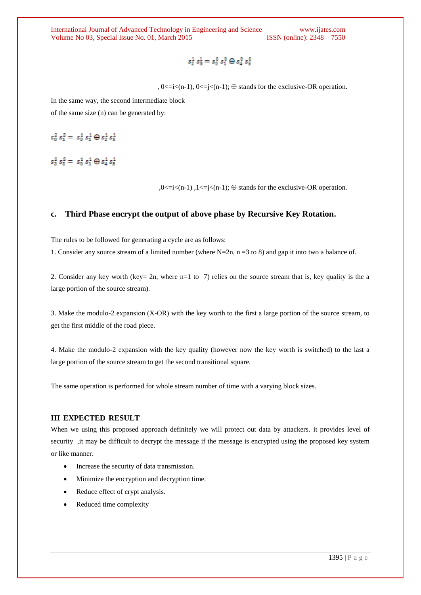$s_2^1$   $s_2^1 = s_0^0$   $s_1^0 \oplus s_2^0$   $s_5^0$ 

,  $0 \le i \le (n-1)$ ,  $0 \le i \le (n-1)$ ;  $\oplus$  stands for the exclusive-OR operation.

In the same way, the second intermediate block of the same size (n) can be generated by:

 $s_0^2 s_1^2 = s_0^1 s_1^1 \oplus s_2^1 s_3^1$ 

 $s_2^2$   $s_3^2 = s_0^1 s_1^1 \oplus s_4^1 s_5^1$ 

 $,0 \le i \le (n-1)$ ,  $1 \le i \le (n-1)$ ;  $\oplus$  stands for the exclusive-OR operation.

# **c. Third Phase encrypt the output of above phase by Recursive Key Rotation.**

The rules to be followed for generating a cycle are as follows:

1. Consider any source stream of a limited number (where  $N=2n$ ,  $n = 3$  to 8) and gap it into two a balance of.

2. Consider any key worth (key= 2n, where n=1 to 7) relies on the source stream that is, key quality is the a large portion of the source stream).

3. Make the modulo-2 expansion (X-OR) with the key worth to the first a large portion of the source stream, to get the first middle of the road piece.

4. Make the modulo-2 expansion with the key quality (however now the key worth is switched) to the last a large portion of the source stream to get the second transitional square.

The same operation is performed for whole stream number of time with a varying block sizes.

### **III EXPECTED RESULT**

When we using this proposed approach definitely we will protect out data by attackers. it provides level of security ,it may be difficult to decrypt the message if the message is encrypted using the proposed key system or like manner.

- Increase the security of data transmission.
- Minimize the encryption and decryption time.
- Reduce effect of crypt analysis.
- Reduced time complexity